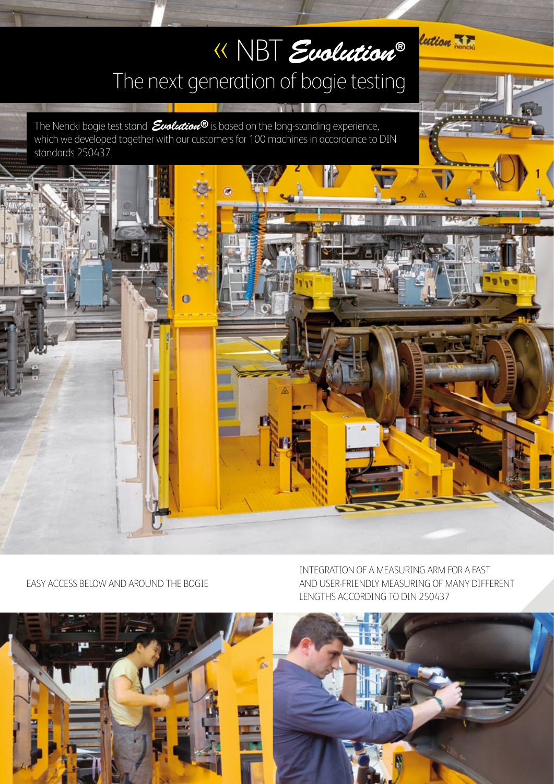# « NBT *Evolution®* The next generation of bogie testing

The Nencki bogie test stand *Evolution®* is based on the long-standing experience, which we developed together with our customers for 100 machines in accordance to DIN standards 250437.



INTEGRATION OF A MEASURING ARM FOR A FAST AND USER-FRIENDLY MEASURING OF MANY DIFFERENT LENGTHS ACCORDING TO DIN 250437







lution TF